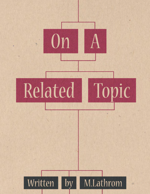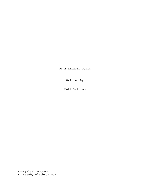## ON A RELATED TOPIC

Written by

Matt Lathrom

matt@mlathrom.com writtenby.mlathrom.com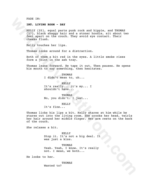FADE IN:

## **INT. LIVING ROOM - DAY**

KELLY (25), equal parts punk rock and hippie, and THOMAS (27), black shaggy hair and a stoner hoodie, sit about two feet apart on the couch. They avoid eye contact. Their cheeks flush.

Kelly touches her lips.

Thomas looks around for a distraction.

Both of them a bit red in the eyes. A little smoke rises form a joint in the ash tray.

Thomas leans forward. He taps it out. Then pauses. He opens his mouth to say something, then hesitates.

> THOMAS I didn't mean to, uh...

KELLY It's really... it's my... I shouldn't have...

THOMAS No, you didn't. I just...

KELLY

It's fine...

FADE IN:<br> **WELLY** (15), equal parts punk rock and hippie, and THOMAS<br>
(27), black shargy hair and stonar hoodie, sit about<br>
feet spart on the couch. They avoid eye contact. Their<br>
decks film,<br>
feeliy touches her lips.<br>
Tho Thomas licks his lips a bit. Kelly stares at him while he stares out into the living room. She crooks her head, twirls her hair around her middle finger. Her arm rests on the back of the couch.

She relaxes a bit.

KELLY Stop it. It's not a big deal. It was just a kiss.

THOMAS Yeah. Yeah, I know. It's really not. I mean, we both...

He looks to her.

THOMAS Wanted to?